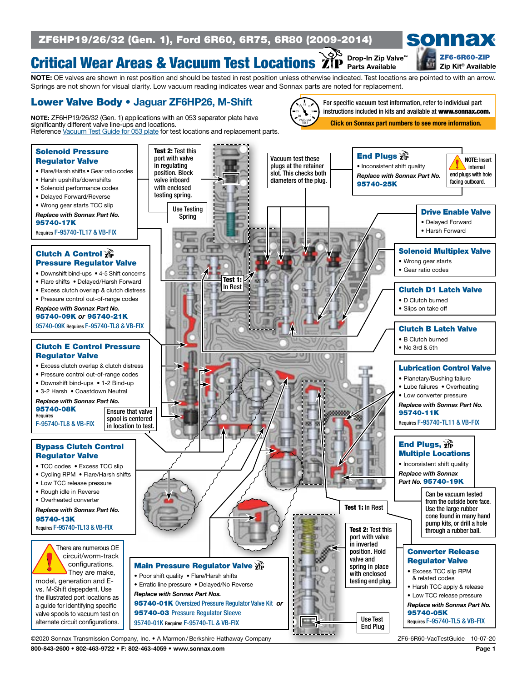## ZF6HP19/26/32 (Gen. 1), Ford 6R60, 6R75, 6R80 (2009-2014)

#### Critical Wear Areas & Vacuum Test Locations Drop-In Zip Valve<sup>™</sup>

sonnax [ZF6-6R60-ZIP](https://www.sonnax.com/parts/3052-zip-kit)

#### NOTE: OE valves are shown in rest position and should be tested in rest position unless otherwise indicated. Test locations are pointed to with an arrow. Zip Kit® Available Parts Available

Springs are not shown for visual clarity. Low vacuum reading indicates wear and Sonnax parts are noted for replacement.

#### Lower Valve Body • Jaguar ZF6HP26, M-Shift

significantly different valve line-ups and locations.

25 15 0 10 5 30 VACUUM TEST NOTE: ZF6HP19/26/32 (Gen. 1) applications with an 053 separator plate have Reference [Vacuum Test Guide for 053 plate](http://www.sonnax.com/pdfs/160-zf6hp19-26-32-gen-1-with-053-separator-plate-vacuum-test-guide) for test locations and replacement parts.

For specific vacuum test information, refer to individual part instructions included in kits and available at www.sonnax.com.

Click on Sonnax part numbers to see more information.



800-843-2600 • 802-463-9722 • F: 802-463-4059 • www.sonnax.com Page 1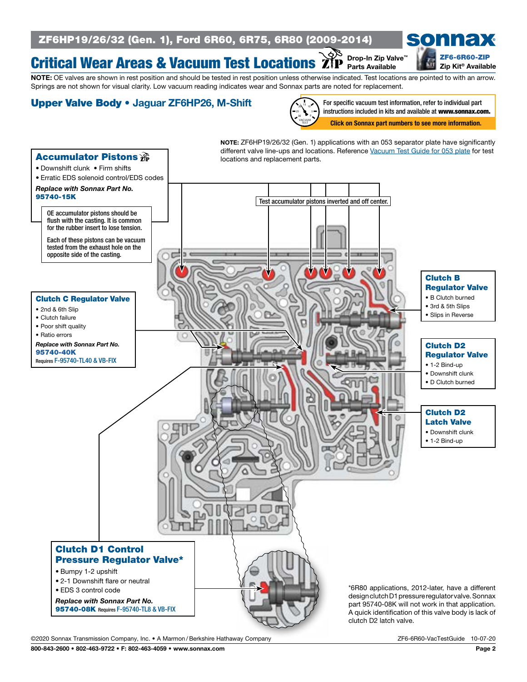## ZF6HP19/26/32 (Gen. 1), Ford 6R60, 6R75, 6R80 (2009-2014)

#### Critical Wear Areas & Vacuum Test Locations Drop-In Zip Valve™ Parts Available



Zip Kit® Available

NOTE: OE valves are shown in rest position and should be tested in rest position unless otherwise indicated. Test locations are pointed to with an arrow. Springs are not shown for visual clarity. Low vacuum reading indicates wear and Sonnax parts are noted for replacement.

## Upper Valve Body • Jaguar ZF6HP26, M-Shift



For specific vacuum test information, refer to individual part instructions included in kits and available at www.sonnax.com.

Click on Sonnax part numbers to see more information.



©2020 Sonnax Transmission Company, Inc. • A Marmon / Berkshire Hathaway Company Zecta and Museum ZF6-6R60-VacTestGuide 10-07-20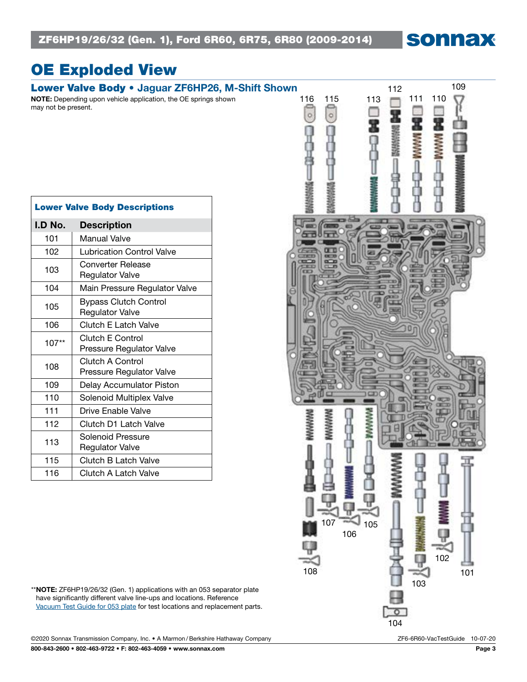sonnax

# OE Exploded View

may not be present.

NOTE: Depending upon vehicle application, the OE springs shown

| <b>Lower Valve Body Descriptions</b> |                                                        |  |
|--------------------------------------|--------------------------------------------------------|--|
| I.D No.                              | <b>Description</b>                                     |  |
| 101                                  | Manual Valve                                           |  |
| 102                                  | <b>Lubrication Control Valve</b>                       |  |
| 103                                  | Converter Release<br><b>Regulator Valve</b>            |  |
| 104                                  | Main Pressure Regulator Valve                          |  |
| 105                                  | <b>Bypass Clutch Control</b><br><b>Regulator Valve</b> |  |
| 106                                  | <b>Clutch E Latch Valve</b>                            |  |
| $107**$                              | <b>Clutch E Control</b><br>Pressure Regulator Valve    |  |
| 108                                  | Clutch A Control<br>Pressure Regulator Valve           |  |
| 109                                  | Delay Accumulator Piston                               |  |
| 110                                  | Solenoid Multiplex Valve                               |  |
| 111                                  | Drive Enable Valve                                     |  |
| 112                                  | Clutch D1 Latch Valve                                  |  |
| 113                                  | Solenoid Pressure<br><b>Regulator Valve</b>            |  |
| 115                                  | Clutch B Latch Valve                                   |  |
| 116                                  | Clutch A Latch Valve                                   |  |



\*\*NOTE: ZF6HP19/26/32 (Gen. 1) applications with an 053 separator plate have significantly different valve line-ups and locations. Reference [Vacuum Test Guide for 053 plate](http://www.sonnax.com/pdfs/160-zf6hp19-26-32-gen-1-with-053-separator-plate-vacuum-test-guide) for test locations and replacement parts.